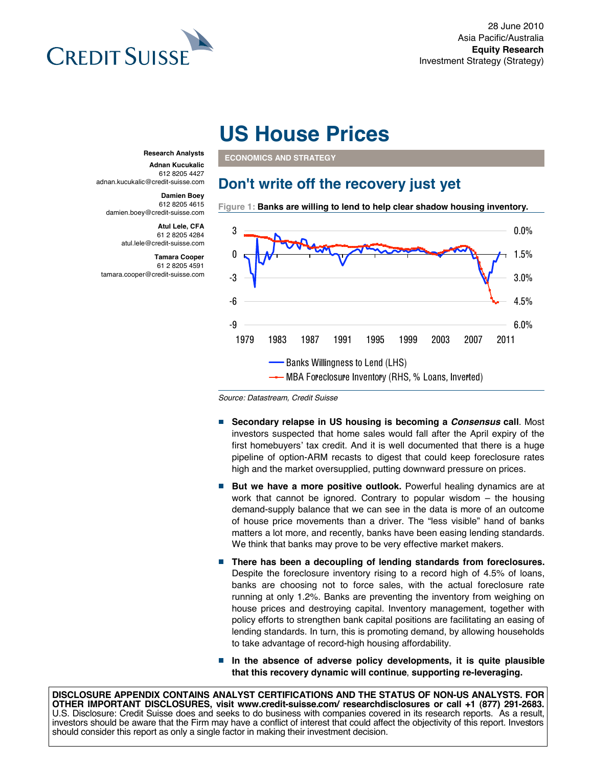

# **US House Prices**

**ECONOMICS AND STRATEGY** 

### **Don't write off the recovery just yet**

**Figure 1: Banks are willing to lend to help clear shadow housing inventory.**



**Research Analysts**

**Adnan Kucukalic** 612 8205 4427 adnan.kucukalic@credit-suisse.com

#### **Damien Boey**

612 8205 4615 damien.boey@credit-suisse.com

> **Atul Lele, CFA** 61 2 8205 4284 atul.lele@credit-suisse.com

**Tamara Cooper** 61 2 8205 4591 tamara.cooper@credit-suisse.com

*Source: Datastream, Credit Suisse* 

- **Secondary relapse in US housing is becoming a** *Consensus* **call**. Most investors suspected that home sales would fall after the April expiry of the first homebuyers' tax credit. And it is well documented that there is a huge pipeline of option-ARM recasts to digest that could keep foreclosure rates high and the market oversupplied, putting downward pressure on prices.
- $\mathcal{L}_{\mathcal{A}}$ **But we have a more positive outlook.** Powerful healing dynamics are at work that cannot be ignored. Contrary to popular wisdom – the housing demand-supply balance that we can see in the data is more of an outcome of house price movements than a driver. The "less visible" hand of banks matters a lot more, and recently, banks have been easing lending standards. We think that banks may prove to be very effective market makers.
- **There has been a decoupling of lending standards from foreclosures.** Despite the foreclosure inventory rising to a record high of 4.5% of loans, banks are choosing not to force sales, with the actual foreclosure rate running at only 1.2%. Banks are preventing the inventory from weighing on house prices and destroying capital. Inventory management, together with policy efforts to strengthen bank capital positions are facilitating an easing of lending standards. In turn, this is promoting demand, by allowing households to take advantage of record-high housing affordability.
- $\mathcal{C}^{\mathcal{A}}$ **In the absence of adverse policy developments, it is quite plausible that this recovery dynamic will continue**, **supporting re-leveraging.**

**DISCLOSURE APPENDIX CONTAINS ANALYST CERTIFICATIONS AND THE STATUS OF NON-US ANALYSTS. FOR OTHER IMPORTANT DISCLOSURES, visit www.credit-suisse.com/ researchdisclosures or call +1 (877) 291-2683.** U.S. Disclosure: Credit Suisse does and seeks to do business with companies covered in its research reports. As a result, investors should be aware that the Firm may have a conflict of interest that could affect the objectivity of this report. Investors should consider this report as only a single factor in making their investment decision.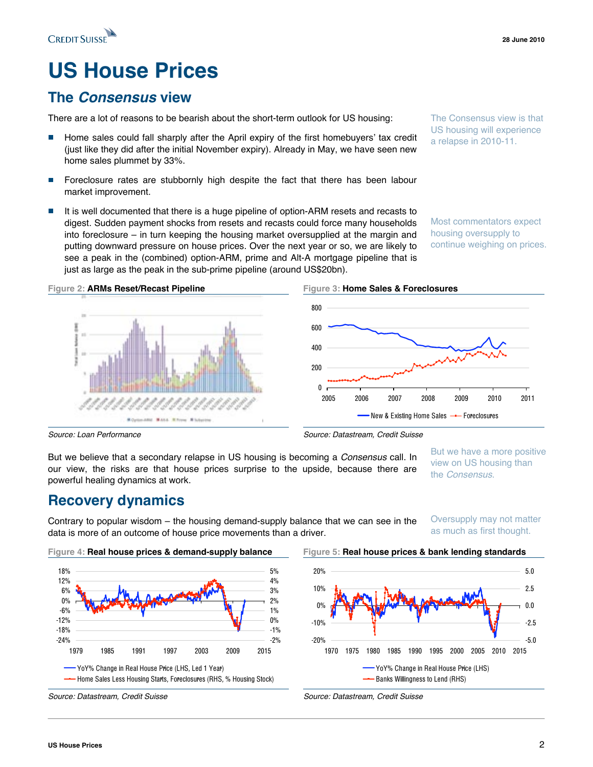## **US House Prices**

## **The** *Consensus* **view**

**CREDIT SUISSE** 

There are a lot of reasons to be bearish about the short-term outlook for US housing:

- Home sales could fall sharply after the April expiry of the first homebuyers' tax credit (just like they did after the initial November expiry). Already in May, we have seen new home sales plummet by 33%.
- Foreclosure rates are stubbornly high despite the fact that there has been labour market improvement.
- It is well documented that there is a huge pipeline of option-ARM resets and recasts to  $\Box$ digest. Sudden payment shocks from resets and recasts could force many households into foreclosure – in turn keeping the housing market oversupplied at the margin and putting downward pressure on house prices. Over the next year or so, we are likely to see a peak in the (combined) option-ARM, prime and Alt-A mortgage pipeline that is just as large as the peak in the sub-prime pipeline (around US\$20bn).

Most commentators expect housing oversupply to continue weighing on prices.

The Consensus view is that US housing will experience a relapse in 2010-11.



But we believe that a secondary relapse in US housing is becoming a *Consensus* call. In our view, the risks are that house prices surprise to the upside, because there are powerful healing dynamics at work.

But we have a more positive view on US housing than the *Consensus*.

Oversupply may not matter

### **Recovery dynamics**

Contrary to popular wisdom – the housing demand-supply balance that we can see in the data is more of an outcome of house price movements than a driver.

> -2% -1% 0% 1% 2% 3% 4% 5%

as much as first thought.





### **Figure 4: Real house prices & demand-supply balance Figure 5: Real house prices & bank lending standards**

1979 1985 1991 1997 2003 2009 2015

**--** Home Sales Less Housing Starts, Foreclosures (RHS, % Housing Stock)

YoY% Change in Real House Price (LHS, Led 1 Year)

-24% -18% -12% -6% 0% 6% 12% 18%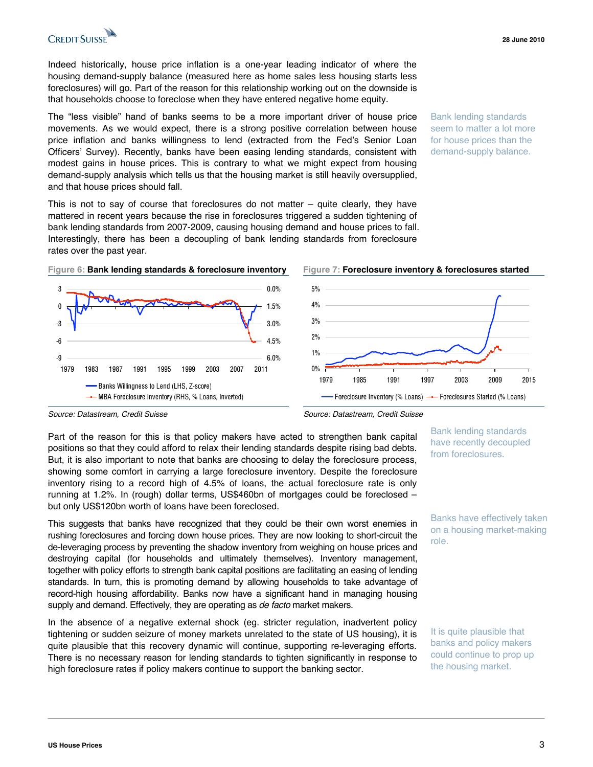

Indeed historically, house price inflation is a one-year leading indicator of where the housing demand-supply balance (measured here as home sales less housing starts less foreclosures) will go. Part of the reason for this relationship working out on the downside is that households choose to foreclose when they have entered negative home equity.

The "less visible" hand of banks seems to be a more important driver of house price movements. As we would expect, there is a strong positive correlation between house price inflation and banks willingness to lend (extracted from the Fed's Senior Loan Officers' Survey). Recently, banks have been easing lending standards, consistent with modest gains in house prices. This is contrary to what we might expect from housing demand-supply analysis which tells us that the housing market is still heavily oversupplied, and that house prices should fall.

This is not to say of course that foreclosures do not matter  $-$  quite clearly, they have mattered in recent years because the rise in foreclosures triggered a sudden tightening of bank lending standards from 2007-2009, causing housing demand and house prices to fall. Interestingly, there has been a decoupling of bank lending standards from foreclosure rates over the past year.

Bank lending standards seem to matter a lot more for house prices than the demand-supply balance.



*Source: Datastream, Credit Suisse Source: Datastream, Credit Suisse* 

Part of the reason for this is that policy makers have acted to strengthen bank capital positions so that they could afford to relax their lending standards despite rising bad debts. But, it is also important to note that banks are choosing to delay the foreclosure process, showing some comfort in carrying a large foreclosure inventory. Despite the foreclosure inventory rising to a record high of 4.5% of loans, the actual foreclosure rate is only running at 1.2%. In (rough) dollar terms, US\$460bn of mortgages could be foreclosed – but only US\$120bn worth of loans have been foreclosed.

This suggests that banks have recognized that they could be their own worst enemies in rushing foreclosures and forcing down house prices. They are now looking to short-circuit the de-leveraging process by preventing the shadow inventory from weighing on house prices and destroying capital (for households and ultimately themselves). Inventory management, together with policy efforts to strength bank capital positions are facilitating an easing of lending standards. In turn, this is promoting demand by allowing households to take advantage of record-high housing affordability. Banks now have a significant hand in managing housing supply and demand. Effectively, they are operating as *de facto* market makers.

In the absence of a negative external shock (eg. stricter regulation, inadvertent policy tightening or sudden seizure of money markets unrelated to the state of US housing), it is quite plausible that this recovery dynamic will continue, supporting re-leveraging efforts. There is no necessary reason for lending standards to tighten significantly in response to high foreclosure rates if policy makers continue to support the banking sector.

Bank lending standards have recently decoupled from foreclosures.

Banks have effectively taken on a housing market-making role.

It is quite plausible that banks and policy makers could continue to prop up the housing market.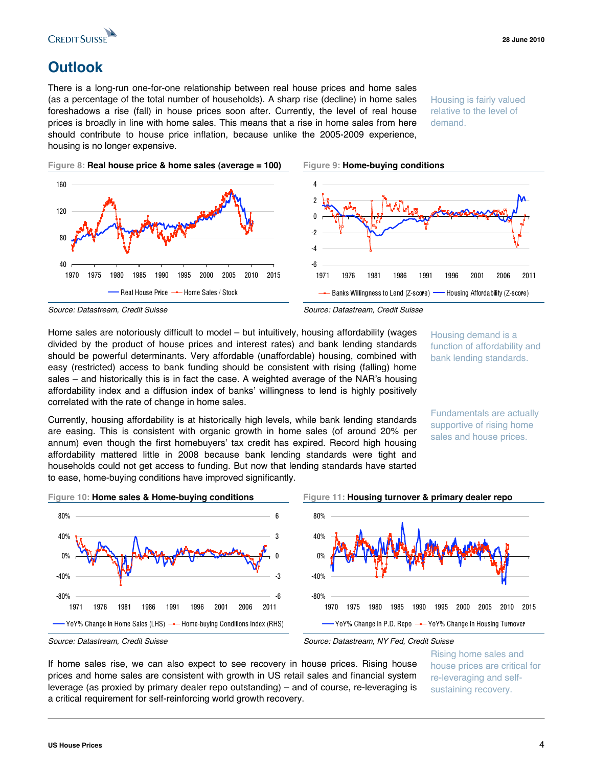

## **Outlook**

There is a long-run one-for-one relationship between real house prices and home sales (as a percentage of the total number of households). A sharp rise (decline) in home sales foreshadows a rise (fall) in house prices soon after. Currently, the level of real house prices is broadly in line with home sales. This means that a rise in home sales from here should contribute to house price inflation, because unlike the 2005-2009 experience, housing is no longer expensive.

Housing is fairly valued relative to the level of demand.

**Figure 8: Real house price & home sales (average = 100) Figure 9: Home-buying conditions**





-- Banks Willingness to Lend (Z-score) - Housing Affordability (Z-score)

Home sales are notoriously difficult to model – but intuitively, housing affordability (wages divided by the product of house prices and interest rates) and bank lending standards should be powerful determinants. Very affordable (unaffordable) housing, combined with easy (restricted) access to bank funding should be consistent with rising (falling) home sales – and historically this is in fact the case. A weighted average of the NAR's housing affordability index and a diffusion index of banks' willingness to lend is highly positively correlated with the rate of change in home sales.

Housing demand is a function of affordability and bank lending standards.

Fundamentals are actually supportive of rising home sales and house prices.

Currently, housing affordability is at historically high levels, while bank lending standards are easing. This is consistent with organic growth in home sales (of around 20% per annum) even though the first homebuyers' tax credit has expired. Record high housing affordability mattered little in 2008 because bank lending standards were tight and households could not get access to funding. But now that lending standards have started to ease, home-buying conditions have improved significantly.

**Figure 10: Home sales & Home-buying conditions Figure 11: Housing turnover & primary dealer repo** 1971 1976 1981 1986 1991 1996 2001 2006 2011 -6 -3  $\sqrt{2}$ 3 6  $\text{YoY\%}$  Change in Home Sales (LHS)  $\rightarrow$  Home-buying Conditions Index (RHS) -80% -40% 0% 40% 80% 1970 1975 1980 1985 1990 1995 2000 2005 2010 2015 YoY% Change in P.D. Repo - YoY% Change in Housing Turnover

If home sales rise, we can also expect to see recovery in house prices. Rising house prices and home sales are consistent with growth in US retail sales and financial system leverage (as proxied by primary dealer repo outstanding) – and of course, re-leveraging is a critical requirement for self-reinforcing world growth recovery.

Rising home sales and house prices are critical for re-leveraging and selfsustaining recovery.

-80%

-40%

0%

40%

80%

*Source: Datastream, Credit Suisse Source: Datastream, Credit Suisse* 

*Source: Datastream, Credit Suisse Source: Datastream, NY Fed, Credit Suisse*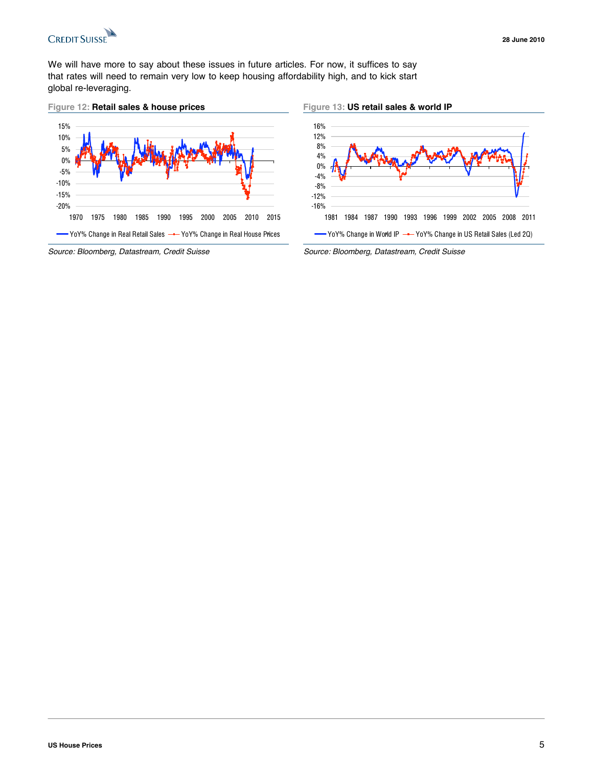

We will have more to say about these issues in future articles. For now, it suffices to say that rates will need to remain very low to keep housing affordability high, and to kick start global re-leveraging.

#### **Figure 12: Retail sales & house prices Figure 13: US retail sales & world IP**





*Source: Bloomberg, Datastream, Credit Suisse Source: Bloomberg, Datastream, Credit Suisse*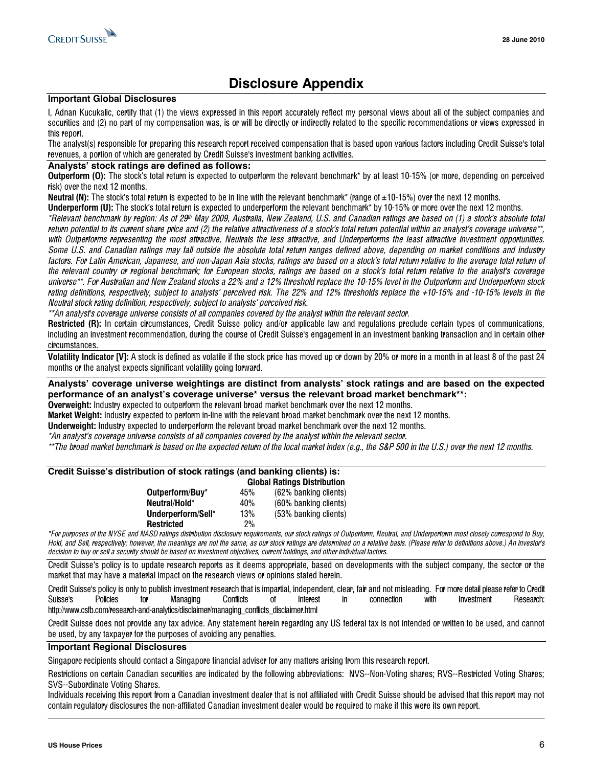

### **Disclosure Appendix**

#### **Important Global Disclosures**

I, Adnan Kucukalic, certify that (1) the views expressed in this report accurately reflect my personal views about all of the subject companies and securities and (2) no part of my compensation was, is or will be directly or indirectly related to the specific recommendations or views expressed in this report.

The analyst(s) responsible for preparing this research report received compensation that is based upon various factors including Credit Suisse's total revenues, a portion of which are generated by Credit Suisse's investment banking activities.

#### **Analysts' stock ratings are defined as follows:**

Outperform (O): The stock's total return is expected to outperform the relevant benchmark\* by at least 10-15% (or more, depending on perceived risk) over the next 12 months.

Neutral (N): The stock's total return is expected to be in line with the relevant benchmark\* (range of  $\pm 10$ -15%) over the next 12 months.

Underperform (U): The stock's total return is expected to underperform the relevant benchmark\* by 10-15% or more over the next 12 months.

\*Relevant benchmark by <sup>r</sup>egion: A<sup>s</sup> <sup>o</sup>f 29t<sup>h</sup> May 2009, Australia, Ne<sup>w</sup> Zealand, U.S. and Canadian <sup>r</sup>atings <sup>a</sup>r<sup>e</sup> based on (1) <sup>a</sup> <sup>s</sup>tock'<sup>s</sup> absolut<sup>e</sup> total return potential to its current share price and (2) the relative attractiveness of a stock's total return potential within an analyst's coverage universe\*\*, with Outperforms representing the most attractive, Neutrals the less attractive, and Underperforms the least attractive investment opportunities. Som<sup>e</sup> U.S. and Canadian <sup>r</sup>atings <sup>m</sup>ay fall outside the absolut<sup>e</sup> total <sup>r</sup>etur<sup>n</sup> <sup>r</sup>anges defined above, depending on <sup>m</sup>arket conditions and industry factors. Fo<sup>r</sup> Lati<sup>n</sup> American, Japanese, and non-Japan Asi<sup>a</sup> <sup>s</sup>tocks, <sup>r</sup>atings <sup>a</sup>r<sup>e</sup> based on <sup>a</sup> <sup>s</sup>tock'<sup>s</sup> total <sup>r</sup>etur<sup>n</sup> <sup>r</sup>elative t<sup>o</sup> the average total <sup>r</sup>etur<sup>n</sup> <sup>o</sup>f the <sup>r</sup>elevant country <sup>o</sup><sup>r</sup> <sup>r</sup>egional benchmark; fo<sup>r</sup> European <sup>s</sup>tocks, <sup>r</sup>atings <sup>a</sup>r<sup>e</sup> based on <sup>a</sup> <sup>s</sup>tock'<sup>s</sup> total <sup>r</sup>etur<sup>n</sup> <sup>r</sup>elative t<sup>o</sup> the analyst'<sup>s</sup> coverage universe\*\*. Fo<sup>r</sup> Australian and Ne<sup>w</sup> Zealand <sup>s</sup>tocks <sup>a</sup> 22% and <sup>a</sup> 12% threshold <sup>r</sup>eplace the 10-15% level i<sup>n</sup> the Outperfor<sup>m</sup> and Underperfor<sup>m</sup> <sup>s</sup>tock rating definitions, respectively, subject to analysts' perceived risk. The 22% and 12% thresholds replace the +10-15% and -10-15% levels in the Neutral <sup>s</sup>tock <sup>r</sup>ating definition, <sup>r</sup>espectively, subject t<sup>o</sup> analysts' perceived <sup>r</sup>isk.

\*\*A<sup>n</sup> analyst'<sup>s</sup> coverage universe consist<sup>s</sup> <sup>o</sup>f <sup>a</sup>ll companies covered by the analyst <sup>w</sup>ithi<sup>n</sup> the <sup>r</sup>elevant sector.

Restricted (R): In certain circumstances, Credit Suisse policy and/or applicable law and regulations preclude certain types of communications, including an investment recommendation, during the course of Credit Suisse's engagement in an investment banking transaction and in certain other circumstances.

Volatility Indicator [V]: A stock is defined as volatile if the stock price has moved up or down by 20% or more in a month in at least 8 of the past 24 months or the analyst expects significant volatility going forward.

**Analysts' coverage universe weightings are distinct from analysts' stock ratings and are based on the expected performance of an analyst's coverage universe\* versus the relevant broad market benchmark\*\*:** 

Overweight: Industry expected to outperform the relevant broad market benchmark over the next 12 months.

Market Weight: Industry expected to perform in-line with the relevant broad market benchmark over the next 12 months.

Underweight: Industry expected to underperform the relevant broad market benchmark over the next 12 months.

\*A<sup>n</sup> analyst'<sup>s</sup> coverage universe consist<sup>s</sup> <sup>o</sup>f <sup>a</sup>ll companies covered by the analyst <sup>w</sup>ithi<sup>n</sup> the <sup>r</sup>elevant sector.

\*\*The broad <sup>m</sup>arket benchmark i<sup>s</sup> based on the expected <sup>r</sup>etur<sup>n</sup> <sup>o</sup>f the local <sup>m</sup>arket index (<sup>e</sup>.g., the S&P 500 i<sup>n</sup> the U.S.) ove<sup>r</sup> the next 12 <sup>m</sup>onths.

#### **Credit Suisse's distribution of stock ratings (and banking clients) is:**  Global Ratings Distribution

|                    | GIUDAI NAUHUS PISUIDUUUI |                       |
|--------------------|--------------------------|-----------------------|
| Outperform/Buy*    | 45%                      | (62% banking clients) |
| Neutral/Hold*      | 40%                      | (60% banking clients) |
| Underperform/Sell* | 13%                      | (53% banking clients) |
| <b>Restricted</b>  | $2\%$                    |                       |

\*Fo<sup>r</sup> purposes <sup>o</sup>f the NYSE and NASD <sup>r</sup>atings distribution disclosur<sup>e</sup> <sup>r</sup>equirements, ou<sup>r</sup> <sup>s</sup>tock <sup>r</sup>atings <sup>o</sup>f Outperform, Neutral, and Underperfor<sup>m</sup> <sup>m</sup>ost <sup>c</sup>losely correspond t<sup>o</sup> Buy, Hold, and Sell, <sup>r</sup>espectively; however, the <sup>m</sup>eanings <sup>a</sup>r<sup>e</sup> not the same, as ou<sup>r</sup> <sup>s</sup>tock <sup>r</sup>atings <sup>a</sup>r<sup>e</sup> determined on <sup>a</sup> <sup>r</sup>elative basis. (Please <sup>r</sup>efe<sup>r</sup> t<sup>o</sup> definitions above.) A<sup>n</sup> investor'<sup>s</sup> decision t<sup>o</sup> buy <sup>o</sup><sup>r</sup> sell <sup>a</sup> security should be based on investment objectives, current holdings, and <sup>o</sup>the<sup>r</sup> individual factors.

Credit Suisse's policy is to update research reports as it deems appropriate, based on developments with the subject company, the sector or the market that may have a material impact on the research views or opinions stated herein.

Credit Suisse's policy is only to publish investment research that is impartial, independent, clear, fair and not misleading. For more detail please refer to Credit Suisse's Policies for Managing Conflicts of Interest in connection with Investment Research: http://www.csfb.com/research-and-analytics/disclaimer/managing\_conflicts\_disclaimer.html

Credit Suisse does not provide any tax advice. Any statement herein regarding any US federal tax is not intended or written to be used, and cannot be used, by any taxpayer for the purposes of avoiding any penalties.

#### **Important Regional Disclosures**

Singapore recipients should contact a Singapore financial adviser for any matters arising from this research report.

Restrictions on certain Canadian securities are indicated by the following abbreviations: NVS--Non-Voting shares; RVS--Restricted Voting Shares; SVS--Subordinate Voting Shares.

Individuals receiving this report from a Canadian investment dealer that is not affiliated with Credit Suisse should be advised that this report may not contain regulatory disclosures the non-affiliated Canadian investment dealer would be required to make if this were its own report.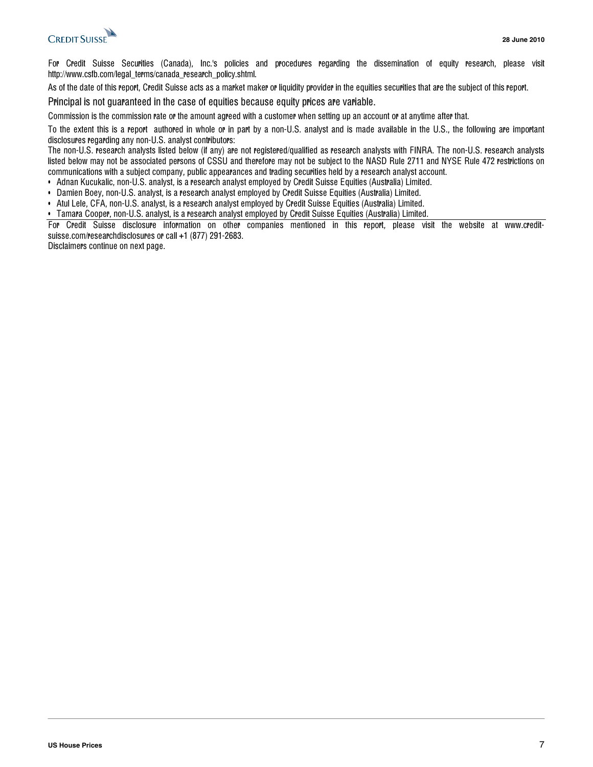

For Credit Suisse Securities (Canada), Inc.'s policies and procedures regarding the dissemination of equity research, please visit http://www.csfb.com/legal\_terms/canada\_research\_policy.shtml.

As of the date of this report, Credit Suisse acts as a market maker or liquidity provider in the equities securities that are the subject of this report.

Principal is not guaranteed in the case of equities because equity prices are variable.

Commission is the commission rate or the amount agreed with a customer when setting up an account or at anytime after that.

To the extent this is a report authored in whole or in part by a non-U.S. analyst and is made available in the U.S., the following are important disclosures regarding any non-U.S. analyst contributors:

The non-U.S. research analysts listed below (if any) are not registered/qualified as research analysts with FINRA. The non-U.S. research analysts listed below may not be associated persons of CSSU and therefore may not be subject to the NASD Rule 2711 and NYSE Rule 472 restrictions on communications with a subject company, public appearances and trading securities held by a research analyst account.

• Adnan Kucukalic, non-U.S. analyst, is a research analyst employed by Credit Suisse Equities (Australia) Limited.

- Damien Boey, non-U.S. analyst, is a research analyst employed by Credit Suisse Equities (Australia) Limited.
- Atul Lele, CFA, non-U.S. analyst, is a research analyst employed by Credit Suisse Equities (Australia) Limited.
- Tamara Cooper, non-U.S. analyst, is a research analyst employed by Credit Suisse Equities (Australia) Limited.

For Credit Suisse disclosure information on other companies mentioned in this report, please visit the website at www.creditsuisse.com/researchdisclosures or call +1 (877) 291-2683.

Disclaimers continue on next page.